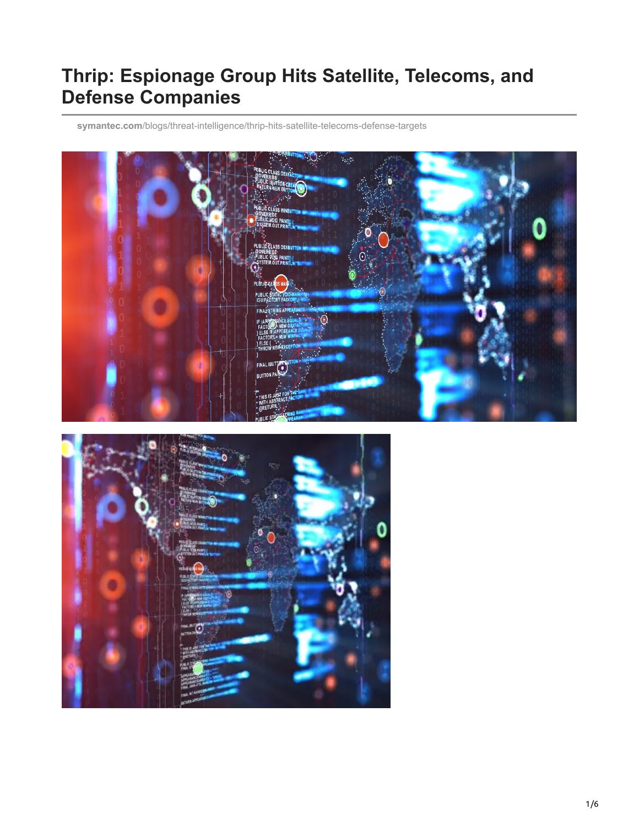## **Thrip: Espionage Group Hits Satellite, Telecoms, and Defense Companies**

**symantec.com**[/blogs/threat-intelligence/thrip-hits-satellite-telecoms-defense-targets](https://www.symantec.com/blogs/threat-intelligence/thrip-hits-satellite-telecoms-defense-targets)



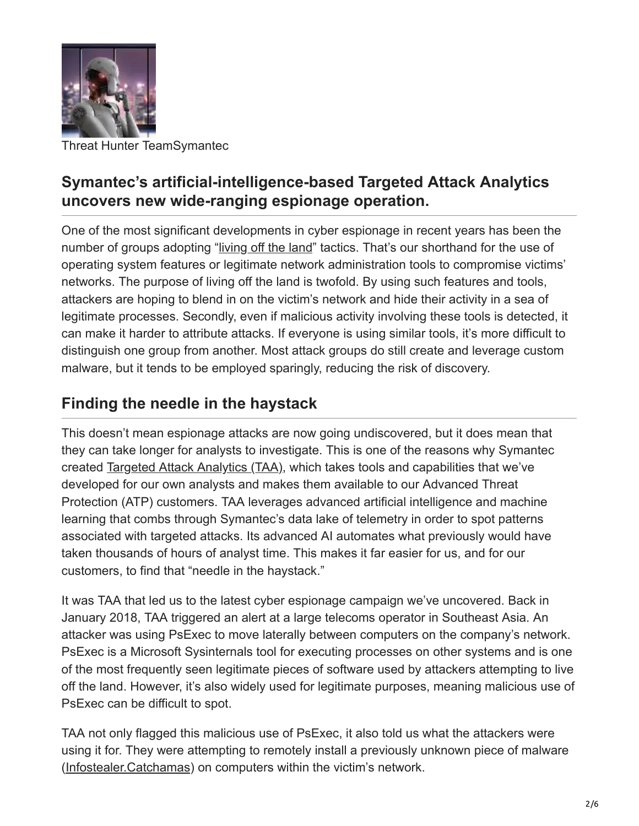

Threat Hunter TeamSymantec

## **Symantec's artificial-intelligence-based Targeted Attack Analytics uncovers new wide-ranging espionage operation.**

One of the most significant developments in cyber espionage in recent years has been the number of groups adopting "[living off the land](https://www.symantec.com/connect/blogs/attackers-are-increasingly-living-land)" tactics. That's our shorthand for the use of operating system features or legitimate network administration tools to compromise victims' networks. The purpose of living off the land is twofold. By using such features and tools, attackers are hoping to blend in on the victim's network and hide their activity in a sea of legitimate processes. Secondly, even if malicious activity involving these tools is detected, it can make it harder to attribute attacks. If everyone is using similar tools, it's more difficult to distinguish one group from another. Most attack groups do still create and leverage custom malware, but it tends to be employed sparingly, reducing the risk of discovery.

## **Finding the needle in the haystack**

This doesn't mean espionage attacks are now going undiscovered, but it does mean that they can take longer for analysts to investigate. This is one of the reasons why Symantec created [Targeted Attack Analytics \(TAA\),](https://resource.elq.symantec.com/LP=5847?cid=70138000001MFtXAAW) which takes tools and capabilities that we've developed for our own analysts and makes them available to our Advanced Threat Protection (ATP) customers. TAA leverages advanced artificial intelligence and machine learning that combs through Symantec's data lake of telemetry in order to spot patterns associated with targeted attacks. Its advanced AI automates what previously would have taken thousands of hours of analyst time. This makes it far easier for us, and for our customers, to find that "needle in the haystack."

It was TAA that led us to the latest cyber espionage campaign we've uncovered. Back in January 2018, TAA triggered an alert at a large telecoms operator in Southeast Asia. An attacker was using PsExec to move laterally between computers on the company's network. PsExec is a Microsoft Sysinternals tool for executing processes on other systems and is one of the most frequently seen legitimate pieces of software used by attackers attempting to live off the land. However, it's also widely used for legitimate purposes, meaning malicious use of PsExec can be difficult to spot.

TAA not only flagged this malicious use of PsExec, it also told us what the attackers were using it for. They were attempting to remotely install a previously unknown piece of malware ([Infostealer.Catchamas](https://www.symantec.com/security-center/writeup/2018-040209-1742-99)) on computers within the victim's network.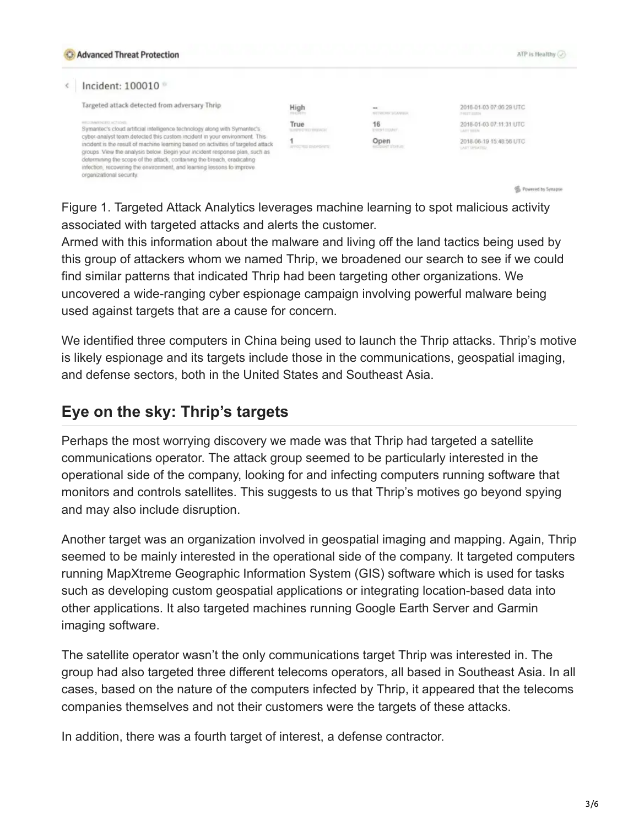| <b>C</b> Advanced Threat Protection                                                                                                                                                                                                                                                                                                                                                                                                                                                                                                   |                           |                                       | ATP is Healthy (V)                           |
|---------------------------------------------------------------------------------------------------------------------------------------------------------------------------------------------------------------------------------------------------------------------------------------------------------------------------------------------------------------------------------------------------------------------------------------------------------------------------------------------------------------------------------------|---------------------------|---------------------------------------|----------------------------------------------|
| ncident: 100010                                                                                                                                                                                                                                                                                                                                                                                                                                                                                                                       |                           |                                       |                                              |
| Targeted attack detected from adversary Thrip                                                                                                                                                                                                                                                                                                                                                                                                                                                                                         | High                      | $-1$<br><b>SETTING PER SIGNIFIEDS</b> | 2018-01-03 07:06:29 UTC<br><b>FRIDE BUTN</b> |
| RECOMMENDED ACTIVITY.<br>Symantec's cloud artificial infelligence technology along with Symantec's<br>cyber-analyst team detected this custom incident in your environment. This<br>incident is the result of machine learning based on activities of targeted attack<br>groups. View the analysis below. Begin your incident response plan, such as<br>determining the scope of the attack, containing the breach, eradicating<br>infection, recovering the environment, and learning lessons to improve<br>organizational security. | True<br>SUPPLY TO PRIVACH | 16<br><b>EVERY COMPT</b>              | 2018-01-03 07:11:31 UTC<br>LATT TOTAL        |
|                                                                                                                                                                                                                                                                                                                                                                                                                                                                                                                                       | APPOINTED ENDINGERS       | Open<br><b>COUNT DIVISI</b>           | 2018-06-19 15 48 56 UTC<br>LAST UPDATED      |

Go. Powered by Synapse

Figure 1. Targeted Attack Analytics leverages machine learning to spot malicious activity associated with targeted attacks and alerts the customer.

Armed with this information about the malware and living off the land tactics being used by this group of attackers whom we named Thrip, we broadened our search to see if we could find similar patterns that indicated Thrip had been targeting other organizations. We uncovered a wide-ranging cyber espionage campaign involving powerful malware being used against targets that are a cause for concern.

We identified three computers in China being used to launch the Thrip attacks. Thrip's motive is likely espionage and its targets include those in the communications, geospatial imaging, and defense sectors, both in the United States and Southeast Asia.

## **Eye on the sky: Thrip's targets**

Perhaps the most worrying discovery we made was that Thrip had targeted a satellite communications operator. The attack group seemed to be particularly interested in the operational side of the company, looking for and infecting computers running software that monitors and controls satellites. This suggests to us that Thrip's motives go beyond spying and may also include disruption.

Another target was an organization involved in geospatial imaging and mapping. Again, Thrip seemed to be mainly interested in the operational side of the company. It targeted computers running MapXtreme Geographic Information System (GIS) software which is used for tasks such as developing custom geospatial applications or integrating location-based data into other applications. It also targeted machines running Google Earth Server and Garmin imaging software.

The satellite operator wasn't the only communications target Thrip was interested in. The group had also targeted three different telecoms operators, all based in Southeast Asia. In all cases, based on the nature of the computers infected by Thrip, it appeared that the telecoms companies themselves and not their customers were the targets of these attacks.

In addition, there was a fourth target of interest, a defense contractor.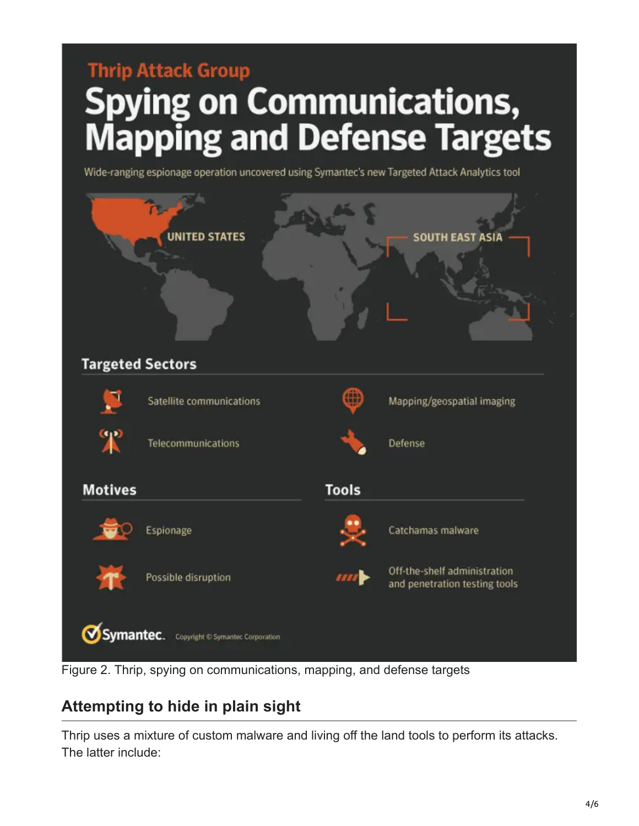# **Thrip Attack Group** Spying on Communications,<br>Mapping and Defense Targets

Wide-ranging espionage operation uncovered using Symantec's new Targeted Attack Analytics tool



Figure 2. Thrip, spying on communications, mapping, and defense targets

## **Attempting to hide in plain sight**

Thrip uses a mixture of custom malware and living off the land tools to perform its attacks. The latter include: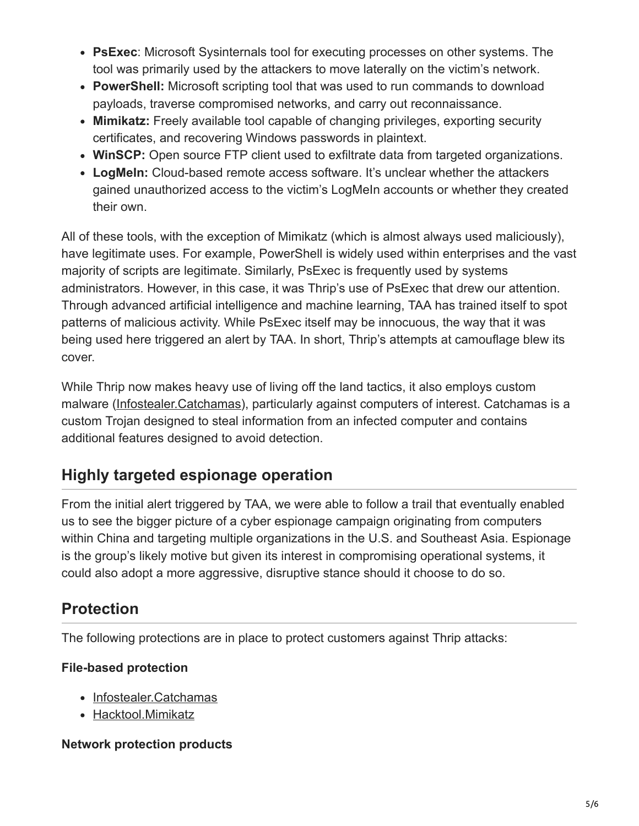- **PsExec**: Microsoft Sysinternals tool for executing processes on other systems. The tool was primarily used by the attackers to move laterally on the victim's network.
- **PowerShell:** Microsoft scripting tool that was used to run commands to download payloads, traverse compromised networks, and carry out reconnaissance.
- **Mimikatz:** Freely available tool capable of changing privileges, exporting security certificates, and recovering Windows passwords in plaintext.
- **WinSCP:** Open source FTP client used to exfiltrate data from targeted organizations.
- **LogMeIn:** Cloud-based remote access software. It's unclear whether the attackers gained unauthorized access to the victim's LogMeIn accounts or whether they created their own.

All of these tools, with the exception of Mimikatz (which is almost always used maliciously), have legitimate uses. For example, PowerShell is widely used within enterprises and the vast majority of scripts are legitimate. Similarly, PsExec is frequently used by systems administrators. However, in this case, it was Thrip's use of PsExec that drew our attention. Through advanced artificial intelligence and machine learning, TAA has trained itself to spot patterns of malicious activity. While PsExec itself may be innocuous, the way that it was being used here triggered an alert by TAA. In short, Thrip's attempts at camouflage blew its cover.

While Thrip now makes heavy use of living off the land tactics, it also employs custom malware ([Infostealer.Catchamas](https://www.symantec.com/security-center/writeup/2018-040209-1742-99)), particularly against computers of interest. Catchamas is a custom Trojan designed to steal information from an infected computer and contains additional features designed to avoid detection.

## **Highly targeted espionage operation**

From the initial alert triggered by TAA, we were able to follow a trail that eventually enabled us to see the bigger picture of a cyber espionage campaign originating from computers within China and targeting multiple organizations in the U.S. and Southeast Asia. Espionage is the group's likely motive but given its interest in compromising operational systems, it could also adopt a more aggressive, disruptive stance should it choose to do so.

## **Protection**

The following protections are in place to protect customers against Thrip attacks:

#### **File-based protection**

- [Infostealer.Catchamas](https://www.symantec.com/security-center/writeup/2018-040209-1742-99)
- [Hacktool.Mimikatz](https://www.symantec.com/security_response/writeup.jsp?docid=2012-042615-3731-99)

#### **Network protection products**